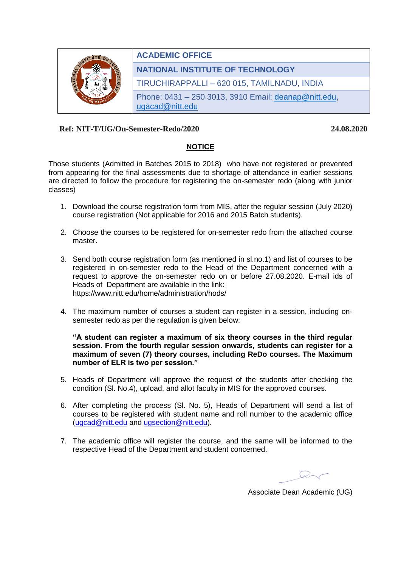

## **Ref: NIT-T/UG/On-Semester-Redo/2020 24.08.2020**

## **NOTICE**

Those students (Admitted in Batches 2015 to 2018) who have not registered or prevented from appearing for the final assessments due to shortage of attendance in earlier sessions are directed to follow the procedure for registering the on-semester redo (along with junior classes)

- 1. Download the course registration form from MIS, after the regular session (July 2020) course registration (Not applicable for 2016 and 2015 Batch students).
- 2. Choose the courses to be registered for on-semester redo from the attached course master.
- 3. Send both course registration form (as mentioned in sl.no.1) and list of courses to be registered in on-semester redo to the Head of the Department concerned with a request to approve the on-semester redo on or before 27.08.2020. E-mail ids of Heads of Department are available in the link: https://www.nitt.edu/home/administration/hods/
- 4. The maximum number of courses a student can register in a session, including onsemester redo as per the regulation is given below:

## **"A student can register a maximum of six theory courses in the third regular session. From the fourth regular session onwards, students can register for a maximum of seven (7) theory courses, including ReDo courses. The Maximum number of ELR is two per session."**

- 5. Heads of Department will approve the request of the students after checking the condition (Sl. No.4), upload, and allot faculty in MIS for the approved courses.
- 6. After completing the process (Sl. No. 5), Heads of Department will send a list of courses to be registered with student name and roll number to the academic office [\(ugcad@nitt.edu](mailto:ugcad@nitt.edu) and [ugsection@nitt.edu\)](mailto:ugsection@nitt.edu).
- 7. The academic office will register the course, and the same will be informed to the respective Head of the Department and student concerned.

Associate Dean Academic (UG)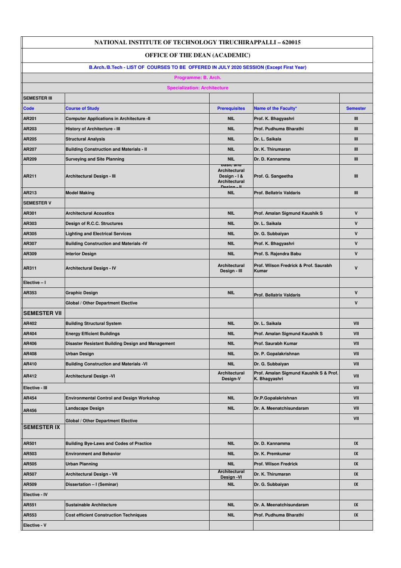| <b>NATIONAL INSTITUTE OF TECHNOLOGY TIRUCHIRAPPALLI - 620015</b>                        |                                                   |                                                                                     |                                                         |                 |  |
|-----------------------------------------------------------------------------------------|---------------------------------------------------|-------------------------------------------------------------------------------------|---------------------------------------------------------|-----------------|--|
| <b>OFFICE OF THE DEAN (ACADEMIC)</b>                                                    |                                                   |                                                                                     |                                                         |                 |  |
| B.Arch./B.Tech - LIST OF COURSES TO BE OFFERED IN JULY 2020 SESSION (Except First Year) |                                                   |                                                                                     |                                                         |                 |  |
| Programme: B. Arch.                                                                     |                                                   |                                                                                     |                                                         |                 |  |
|                                                                                         | <b>Specialization: Architecture</b>               |                                                                                     |                                                         |                 |  |
| <b>SEMESTER III</b>                                                                     |                                                   |                                                                                     |                                                         |                 |  |
| Code                                                                                    | <b>Course of Study</b>                            | <b>Prerequisites</b>                                                                | Name of the Faculty*                                    | <b>Semester</b> |  |
| AR201                                                                                   | <b>Computer Applications in Architecture -II</b>  | <b>NIL</b>                                                                          | Prof. K. Bhagyashri                                     | Ш               |  |
| AR203                                                                                   | <b>History of Architecture - III</b>              | <b>NIL</b>                                                                          | Prof. Pudhuma Bharathi                                  | Ш               |  |
| AR205                                                                                   | <b>Structural Analysis</b>                        | <b>NIL</b>                                                                          | Dr. L. Saikala                                          | Ш               |  |
| AR207                                                                                   | <b>Building Construction and Materials - II</b>   | <b>NIL</b>                                                                          | Dr. K. Thirumaran                                       | Ш               |  |
| AR209                                                                                   | <b>Surveying and Site Planning</b>                | <b>NIL</b>                                                                          | Dr. D. Kannamma                                         | Ш               |  |
| AR211                                                                                   | <b>Architectural Design - III</b>                 | <b>basic and</b><br><b>Architectural</b><br>Design - I &<br>Architectural<br>Dooian | Prof. G. Sangeetha                                      | Ш               |  |
| AR213                                                                                   | <b>Model Making</b>                               | <b>NIL</b>                                                                          | <b>Prof. Bellatrix Valdaris</b>                         | $\mathbf{m}$    |  |
| <b>SEMESTER V</b>                                                                       |                                                   |                                                                                     |                                                         |                 |  |
| AR301                                                                                   | <b>Architectural Acoustics</b>                    | <b>NIL</b>                                                                          | Prof. Amalan Sigmund Kaushik S                          | $\mathsf{v}$    |  |
| AR303                                                                                   | Design of R.C.C. Structures                       | <b>NIL</b>                                                                          | Dr. L. Saikala                                          | $\mathsf{V}$    |  |
| AR305                                                                                   | <b>Lighting and Electrical Services</b>           | <b>NIL</b>                                                                          | Dr. G. Subbaiyan                                        | V               |  |
| AR307                                                                                   | <b>Building Construction and Materials -IV</b>    | <b>NIL</b>                                                                          | Prof. K. Bhagyashri                                     | V               |  |
| AR309                                                                                   | <b>Interior Design</b>                            | <b>NIL</b>                                                                          | Prof. S. Rajendra Babu                                  | $\mathsf{V}$    |  |
| AR311                                                                                   | <b>Architectural Design - IV</b>                  | Architectural<br>Design - III                                                       | Prof. Wilson Fredrick & Prof. Saurabh<br>Kumar          | V               |  |
| Elective - I                                                                            |                                                   |                                                                                     |                                                         |                 |  |
| AR353                                                                                   | <b>Graphic Design</b>                             | <b>NIL</b>                                                                          | <b>Prof. Bellatrix Valdaris</b>                         | V               |  |
|                                                                                         | Global / Other Department Elective                |                                                                                     |                                                         | V               |  |
| <b>SEMESTER VII</b>                                                                     |                                                   |                                                                                     |                                                         |                 |  |
| AR402                                                                                   | <b>Building Structural System</b>                 | <b>NIL</b>                                                                          | Dr. L. Saikala                                          | VII             |  |
| AR404                                                                                   | <b>Energy Efficient Buildings</b>                 | <b>NIL</b>                                                                          | Prof. Amalan Sigmund Kaushik S                          | VII             |  |
| AR406                                                                                   | Disaster Resistant Building Design and Management | <b>NIL</b>                                                                          | Prof. Saurabh Kumar                                     | VII             |  |
| AR408                                                                                   | <b>Urban Design</b>                               | <b>NIL</b>                                                                          | Dr. P. Gopalakrishnan                                   | VII             |  |
| AR410                                                                                   | <b>Building Construction and Materials -VI</b>    | <b>NIL</b>                                                                          | Dr. G. Subbaiyan                                        | VII             |  |
| AR412                                                                                   | <b>Architectural Design -VI</b>                   | <b>Architectural</b><br>Design-V                                                    | Prof. Amalan Sigmund Kaushik S & Prof.<br>K. Bhagyashri | VII             |  |
| Elective - III                                                                          |                                                   |                                                                                     |                                                         | VII             |  |
| AR454                                                                                   | <b>Environmental Control and Design Workshop</b>  | <b>NIL</b>                                                                          | Dr.P.Gopalakrishnan                                     | VII             |  |
| AR456                                                                                   | <b>Landscape Design</b>                           | <b>NIL</b>                                                                          | Dr. A. Meenatchisundaram                                | VII             |  |
|                                                                                         | <b>Global / Other Department Elective</b>         |                                                                                     |                                                         | VII             |  |
| <b>SEMESTER IX</b>                                                                      |                                                   |                                                                                     |                                                         |                 |  |
| AR501                                                                                   | <b>Building Bye-Laws and Codes of Practice</b>    | <b>NIL</b>                                                                          | Dr. D. Kannamma                                         | IX              |  |
| AR503                                                                                   | <b>Environment and Behavior</b>                   | <b>NIL</b>                                                                          | Dr. K. Premkumar                                        | IX              |  |
| AR505                                                                                   | <b>Urban Planning</b>                             | <b>NIL</b>                                                                          | Prof. Wilson Fredrick                                   | IX              |  |
| AR507                                                                                   | <b>Architectural Design - VII</b>                 | <b>Architectural</b><br>Design-VI                                                   | Dr. K. Thirumaran                                       | IX              |  |
| AR509                                                                                   | Dissertation - I (Seminar)                        | <b>NIL</b>                                                                          | Dr. G. Subbaiyan                                        | IX              |  |
| Elective - IV                                                                           |                                                   |                                                                                     |                                                         |                 |  |
| AR551                                                                                   | <b>Sustainable Architecture</b>                   | <b>NIL</b>                                                                          | Dr. A. Meenatchisundaram                                | IX              |  |
| AR553                                                                                   | <b>Cost efficient Construction Techniques</b>     | <b>NIL</b>                                                                          | Prof. Pudhuma Bharathi                                  | IX              |  |
| Elective - V                                                                            |                                                   |                                                                                     |                                                         |                 |  |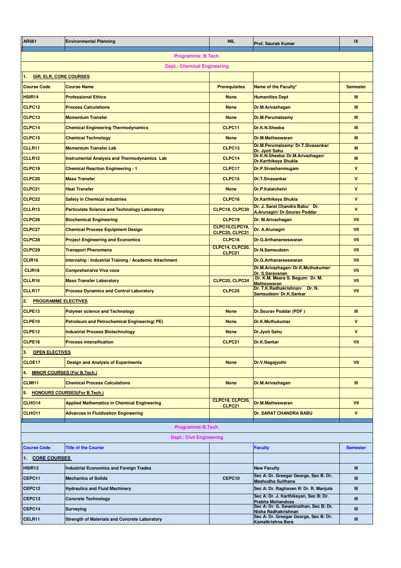| AR561                                    | <b>Environmental Planning</b>                          | <b>NIL</b>                        | <b>Prof. Saurab Kumar</b>                                         | IX              |  |
|------------------------------------------|--------------------------------------------------------|-----------------------------------|-------------------------------------------------------------------|-----------------|--|
| Programme: B.Tech.                       |                                                        |                                   |                                                                   |                 |  |
| <b>Dept.: Chemical Engineering</b>       |                                                        |                                   |                                                                   |                 |  |
| <b>GIR, ELR, CORE COURSES</b><br>1.      |                                                        |                                   |                                                                   |                 |  |
| <b>Course Code</b>                       | <b>Course Name</b>                                     | <b>Prerequisites</b>              | Name of the Faculty*                                              | <b>Semester</b> |  |
| HSIR <sub>14</sub>                       | <b>Professional Ethics</b>                             | <b>None</b>                       | <b>Humanities Dept</b>                                            | Ш               |  |
| CLPC12                                   | <b>Process Calculations</b>                            | <b>None</b>                       | Dr.M.Arivazhagan                                                  | Ш               |  |
| CLPC <sub>13</sub>                       | <b>Momentum Transfer</b>                               | <b>None</b>                       | <b>Dr.M.Perumalsamy</b>                                           | Ш               |  |
| CLPC14                                   | <b>Chemical Engineering Thermodynamics</b>             | CLPC11                            | Dr.K.N.Sheeba                                                     | Ш               |  |
| CLPC15                                   | <b>Chemical Technology</b>                             | <b>None</b>                       | <b>Dr.M.Matheswaran</b>                                           | Ш               |  |
| CLLR11                                   | <b>Momentum Transfer Lab</b>                           | CLPC13                            | Dr.M.Perumalsamy/Dr.T.Sivasankar/<br>Dr. Jyoti Sahu               | Ш               |  |
| CLLR12                                   | <b>Instrumental Analysis and Thermodynamics Lab</b>    | CLPC14                            | Dr.K.N.Sheeba/Dr.M.Arivazhagan/<br><b>Dr.Karthikeya Shukla</b>    | Ш               |  |
| CLPC19                                   | <b>Chemical Reaction Engineering - 1</b>               | CLPC17                            | Dr.P.Sivashanmugam                                                | $\mathsf{v}$    |  |
| CLPC <sub>20</sub>                       | <b>Mass Transfer</b>                                   | CLPC15                            | <b>Dr.T.Sivasankar</b>                                            | $\mathsf{v}$    |  |
| CLPC21                                   | <b>Heat Transfer</b>                                   | <b>None</b>                       | <b>Dr.P.Kalaichelvi</b>                                           | $\mathbf{v}$    |  |
| CLPC <sub>22</sub>                       | <b>Safety in Chemical Industries</b>                   | CLPC16                            | <b>Dr.Karthikeya Shukla</b>                                       | $\mathbf{v}$    |  |
| CLLR13                                   | <b>Particulate Science and Technology Laboratory</b>   | CLPC18, CLPC20                    | Dr. J. Sarat Chandra Babu/ Dr.<br>A.Arunagiri/ Dr.Sourav Poddar   | $\mathbf{v}$    |  |
| CLPC <sub>26</sub>                       | <b>Biochemical Engineering</b>                         | CLPC19                            | Dr. M. Arivazhagan                                                | VII             |  |
| CLPC <sub>27</sub>                       | <b>Chemical Process Equipment Design</b>               | CLPC10, CLPC19,<br>CLPC20, CLPC21 | Dr. A. Arunagiri                                                  | VII             |  |
| CLPC <sub>28</sub>                       | <b>Project Engineering and Economics</b>               | CLPC16                            | <b>Dr.G.Arthanareeswaran</b>                                      | VII             |  |
| CLPC <sub>29</sub>                       | <b>Transport Phenomena</b>                             | CLPC14, CLPC20,<br>CLPC21         | <b>Dr.N.Samsudeen</b>                                             | VII             |  |
| CLIR16                                   | Internship / Industrial Training / Academic Attachment |                                   | <b>Dr.G.Arthanareeswaran</b>                                      | VII             |  |
| CLIR18                                   | <b>Comprehensive Viva voce</b>                         |                                   | Dr.M.Arivazhagan/Dr.K.Muthukumar/<br>Dr. S.Saravanan              | VII             |  |
| CLLR16                                   | <b>Mass Transfer Laboratory</b>                        | CLPC20, CLPC24                    | Dr. K.M. Meera S. Begum/ Dr. M.<br><b>Matheswaran</b>             | VII             |  |
| CLLR17                                   | <b>Process Dynamics and Control Laboratory</b>         | CLPC <sub>25</sub>                | Dr. T.K.Radhakrishnan/ Dr. N.<br>Samsudeen/Dr.K.Sankar            | VII             |  |
| <b>PROGRAMME ELECTIVES</b><br>2.         |                                                        |                                   |                                                                   |                 |  |
| CLPE13                                   | <b>Polymer science and Technology</b>                  | <b>None</b>                       | Dr.Sourav Poddar (PDF)                                            | Ш               |  |
| CLPE10                                   | <b>Petroleum and Petrochemical Engineering(PE)</b>     | <b>None</b>                       | <b>Dr.K.Muthukumar</b>                                            | $\mathsf{v}$    |  |
| CLPE <sub>12</sub>                       | <b>Industrial Process Biotechnology</b>                | <b>None</b>                       | <b>Dr.Jyoti Sahu</b>                                              | $\mathbf{v}$    |  |
| CLPE <sub>18</sub>                       | <b>Process intensification</b>                         | CLPC21                            | <b>Dr.K.Sankar</b>                                                | VII             |  |
| 3.<br><b>OPEN ELECTIVES</b>              |                                                        |                                   |                                                                   |                 |  |
| CLOE17                                   | <b>Design and Analysis of Experiments</b>              | <b>None</b>                       | Dr.V.Nagajyothi                                                   | VII             |  |
| <b>MINOR COURSES (For B.Tech.)</b><br>4. |                                                        |                                   |                                                                   |                 |  |
| <b>CLMI11</b>                            | <b>Chemical Process Calculations</b>                   | <b>None</b>                       | Dr.M.Arivazhagan                                                  | Ш               |  |
| 5.                                       | <b>HONOURS COURSES(For B.Tech.)</b>                    |                                   |                                                                   |                 |  |
| CLHO <sub>14</sub>                       | <b>Applied Mathematics in Chemical Engineering</b>     | CLPC19, CLPC20,<br>CLPC21         | <b>Dr.M.Matheswaran</b>                                           | VII             |  |
| CLHO <sub>11</sub>                       | <b>Advances in Fluidization Engineering</b>            |                                   | <b>Dr. SARAT CHANDRA BABU</b>                                     | $\mathsf{v}$    |  |
|                                          | Programme: B. Tech.                                    |                                   |                                                                   |                 |  |
|                                          | <b>Dept.: Civil Engineering</b>                        |                                   |                                                                   |                 |  |
| <b>Course Code</b>                       | <b>Title of the Course</b>                             |                                   | <b>Faculty</b>                                                    | <b>Semester</b> |  |
| 1. CORE COURSES                          |                                                        |                                   |                                                                   |                 |  |
| HSIR <sub>13</sub>                       | <b>Industrial Economics and Foreign Trades</b>         |                                   | <b>New Faculty</b>                                                | Ш               |  |
| CEPC11                                   | <b>Mechanics of Solids</b>                             | CEPC10                            | Sec A: Dr. Greegar George, Sec B: Dr.<br><b>Mashudha Sulthana</b> | Ш               |  |
| CEPC12                                   | <b>Hydraulics and Fluid Machinery</b>                  |                                   | Sec A: Dr. Raghavan R/ Dr. R. Manjula                             | Ш               |  |
| CEPC13                                   | <b>Concrete Technology</b>                             |                                   | Sec A: Dr. J. Karthikeyan, Sec B: Dr.<br><b>Prabha Mohandoss</b>  | Ш               |  |
| CEPC14                                   | <b>Surveying</b>                                       |                                   | Sec A: Dr. G. Swaminathan, Sec B: Dr.<br>Nisha Radhakrishnan      | Ш               |  |
| CELR11                                   | <b>Strength of Materials and Concrete Laboratory</b>   |                                   | Sec A: Dr. Greegar George, Sec B: Dr.<br>Kamalkrishna Bera        | Ш               |  |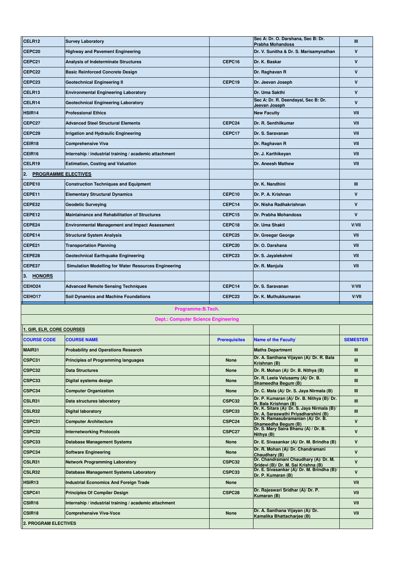| CELR12                            | <b>Survey Laboratory</b>                               |                      | Sec A: Dr. O. Darshana, Sec B: Dr.<br><b>Prabha Mohandoss</b>                | Ш               |
|-----------------------------------|--------------------------------------------------------|----------------------|------------------------------------------------------------------------------|-----------------|
| CEPC <sub>20</sub>                | <b>Highway and Pavement Engineering</b>                |                      | Dr. V. Sunitha & Dr. S. Marisamynathan                                       | V               |
| CEPC21                            | <b>Analysis of Indeterminate Structures</b>            | CEPC16               | Dr. K. Baskar                                                                | V               |
| CEPC22                            | <b>Basic Reinforced Concrete Design</b>                |                      | Dr. Raghavan R                                                               | $\mathsf{v}$    |
| CEPC23                            | <b>Geotechnical Engineering II</b>                     | CEPC19               | Dr. Jeevan Joseph                                                            | V               |
| CELR <sub>13</sub>                | <b>Environmental Engineering Laboratory</b>            |                      | Dr. Uma Sakthi                                                               | $\mathsf{v}$    |
| CELR <sub>14</sub>                | Geotechnical Engineering Laboratory                    |                      | Sec A: Dr. R. Deendayal, Sec B: Dr.<br>Jeevan Joseph                         | V               |
| HSIR <sub>14</sub>                | <b>Professional Ethics</b>                             |                      | <b>New Faculty</b>                                                           | VII             |
| CEPC27                            | <b>Advanced Steel Structural Elements</b>              | CEPC24               | Dr. R. Senthilkumar                                                          | VII             |
| CEPC29                            | Irrigation and Hydraulic Engineering                   | CEPC17               | Dr. S. Saravanan                                                             | VII             |
| CEIR <sub>18</sub>                | <b>Comprehensive Viva</b>                              |                      | Dr. Raghavan R                                                               | VII             |
| CEIR16                            | Internship / industrial training / academic attachment |                      | Dr. J. Karthikeyan                                                           | VII             |
| CELR19                            | <b>Estimation, Costing and Valuation</b>               |                      | Dr. Aneesh Mathew                                                            | VII             |
| 12.<br><b>PROGRAMME ELECTIVES</b> |                                                        |                      |                                                                              |                 |
| CEPE10                            | <b>Construction Techniques and Equipment</b>           |                      | Dr. K. Nandhini                                                              | Ш               |
| CEPE11                            | <b>Elementary Structural Dynamics</b>                  | CEPC10               | Dr. P. A. Krishnan                                                           | V               |
| CEPE32                            | <b>Geodetic Surveying</b>                              | CEPC14               | Dr. Nisha Radhakrishnan                                                      | V               |
| CEPE12                            | <b>Maintainance and Rehabilitation of Structures</b>   | CEPC15               | Dr. Prabha Mohandoss                                                         | $\mathsf{v}$    |
| CEPE24                            | <b>Environmental Management and Impact Assessment</b>  | CEPC18               | Dr. Uma Shakti                                                               | V/VII           |
| CEPE14                            | <b>Structural System Analysis</b>                      | CEPC25               | Dr. Greegar George                                                           | VII             |
| CEPE21                            | <b>Transportation Planning</b>                         | CEPC <sub>20</sub>   | Dr. O. Darshana                                                              | <b>VII</b>      |
| CEPE28                            | Geotechnical Earthquake Engineering                    | CEPC23               | Dr. S. Jayalekshmi                                                           | VII             |
| CEPE37                            | Simulation Modelling for Water Resources Engineering   |                      | Dr. R. Manjula                                                               | VII             |
| <b>HONORS</b><br>13.              |                                                        |                      |                                                                              |                 |
|                                   |                                                        |                      |                                                                              |                 |
| CEHO <sub>24</sub>                | <b>Advanced Remote Sensing Techniques</b>              | CEPC14               | Dr. S. Saravanan                                                             | V/VII           |
| CEHO <sub>17</sub>                | <b>Soil Dynamics and Machine Foundations</b>           | CEPC23               | Dr. K. Muthukkumaran                                                         | V/VII           |
|                                   | Programme: B. Tech.                                    |                      |                                                                              |                 |
|                                   | <b>Dept.: Computer Science Engineering</b>             |                      |                                                                              |                 |
| 1. GIR, ELR, CORE COURSES         |                                                        |                      |                                                                              |                 |
| <b>COURSE CODE</b>                | <b>COURSE NAME</b>                                     | <b>Prerequisites</b> | <b>Name of the Faculty</b>                                                   | <b>SEMESTER</b> |
| MAIR31                            | <b>Probability and Operations Research</b>             |                      | <b>Maths Department</b>                                                      | Ш               |
| CSPC31                            | <b>Principles of Programming languages</b>             | None                 | Dr. A. Santhana Vijayan (A)/ Dr. R. Bala                                     | Ш               |
| CSPC32                            | <b>Data Structures</b>                                 | None                 | Krishnan (B)<br>Dr. R. Mohan (A)/ Dr. B. Nithya (B)                          | Ш               |
| CSPC33                            | Digital systems design                                 | None                 | Dr. R. Leela Velusamy (A)/ Dr. B.                                            | Ш               |
| CSPC34                            | <b>Computer Organization</b>                           | None                 | Shameedha Begum (B)<br>Dr. C. Mala (A)/ Dr. S. Jaya Nirmala (B)              | Ш               |
| CSLR31                            | Data structures laboratory                             | CSPC32               | Dr. P. Kumaran (A)/ Dr. B. Nithya (B)/ Dr.                                   | Ш               |
| CSLR32                            | <b>Digital laboratory</b>                              | CSPC33               | R. Bala Krishnan (B)<br>Dr. K. Sitara (A)/ Dr. S. Jaya Nirmala (B)/          | Ш               |
| CSPC31                            | <b>Computer Architecture</b>                           | CSPC24               | Dr. A. Saraswathi Priyadharshini (B)<br>Dr. N. Ramasubramanian (A)/ Dr. B.   | V               |
| CSPC32                            | <b>Internetworking Protocols</b>                       | CSPC27               | Shameedha Begum (B)<br>Dr. S. Mary Saira Bhanu (A) / Dr. B.                  | $\mathbf v$     |
| CSPC33                            | <b>Database Management Systems</b>                     | None                 | Nithya (B)<br>Dr. E. Sivasankar (A)/ Dr. M. Brindha (B)                      | V               |
| CSPC34                            | <b>Software Engineering</b>                            | None                 | Dr. R. Mohan (A)/ Dr. Chandramani<br>Chaudhary (B)                           | $\mathbf v$     |
| CSLR31                            | <b>Network Programming Laboratory</b>                  | CSPC32               | Dr. Chandramani Chaudhary (A)/ Dr. M.<br>Sridevi (B)/ Dr. M. Sai Krishna (B) | V               |
| CSLR32                            | <b>Database Management Systems Laboratory</b>          | CSPC33               | Dr. E. Sivasankar (A)/ Dr. M. Brindha (B)/                                   | $\mathbf v$     |
| HSIR <sub>13</sub>                | <b>Industrial Economics And Foreign Trade</b>          | None                 | Dr. P. Kumaran (B)                                                           | VII             |
| CSPC41                            | <b>Principles Of Compiler Design</b>                   | CSPC28               | Dr. Rajeswari Sridhar (A)/ Dr. P.                                            | VII             |
| CSIR <sub>16</sub>                | Internship / industrial training / academic attachment |                      | Kumaran (B)                                                                  | VII             |
| CSIR <sub>18</sub>                | <b>Comprehensive Viva-Voce</b>                         | None                 | Dr. A. Santhana Vijayan (A)/ Dr.<br>Kamalika Bhattacharjee (B)               | VII             |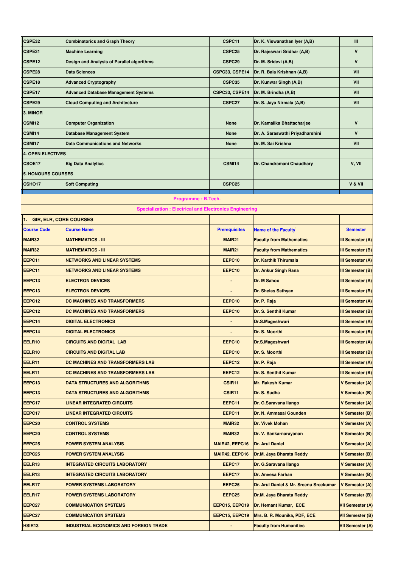| CSPE32                              | <b>Combinatorics and Graph Theory</b>                         | CSPC11               | Dr. K. Viswanathan Iver (A,B)          | Ш                       |
|-------------------------------------|---------------------------------------------------------------|----------------------|----------------------------------------|-------------------------|
| CSPE21                              | <b>Machine Learning</b>                                       | CSPC25               | Dr. Rajeswari Sridhar (A,B)            | $\mathbf v$             |
| CSPE12                              | Design and Analysis of Parallel algorithms                    | CSPC29               | Dr. M. Sridevi (A,B)                   | V                       |
| CSPE28                              | <b>Data Sciences</b>                                          | CSPC33, CSPE14       | Dr. R. Bala Krishnan (A,B)             | VII                     |
| CSPE18                              | <b>Advanced Cryptography</b>                                  | CSPC35               | Dr. Kunwar Singh (A,B)                 | VII                     |
| CSPE17                              | <b>Advanced Database Management Systems</b>                   | CSPC33, CSPE14       | Dr. M. Brindha (A,B)                   | VII                     |
| CSPE29                              | <b>Cloud Computing and Architecture</b>                       | CSPC27               | Dr. S. Jaya Nirmala (A,B)              | VII                     |
| 3. MINOR                            |                                                               |                      |                                        |                         |
| <b>CSMI12</b>                       | <b>Computer Organization</b>                                  | <b>None</b>          | Dr. Kamalika Bhattacharjee             | $\mathsf{v}$            |
| CSMI14                              | <b>Database Management System</b>                             | None                 | Dr. A. Saraswathi Priyadharshini       | $\mathsf{v}$            |
| <b>CSMI17</b>                       | <b>Data Communications and Networks</b>                       | <b>None</b>          | Dr. M. Sai Krishna                     | VII                     |
| <b>4. OPEN ELECTIVES</b>            |                                                               |                      |                                        |                         |
| CSOE17                              | <b>Big Data Analytics</b>                                     | CSMI14               | Dr. Chandramani Chaudhary              | V, VII                  |
| <b>5. HONOURS COURSES</b>           |                                                               |                      |                                        |                         |
| CSHO <sub>17</sub>                  | <b>Soft Computing</b>                                         | CSPC25               |                                        | V & VII                 |
|                                     |                                                               |                      |                                        |                         |
|                                     | Programme: B.Tech.                                            |                      |                                        |                         |
|                                     | <b>Specialization: Electrical and Electronics Engineering</b> |                      |                                        |                         |
| <b>GIR, ELR, CORE COURSES</b><br>1. |                                                               |                      |                                        |                         |
| <b>Course Code</b>                  | <b>Course Name</b>                                            | <b>Prerequisites</b> | <b>Name of the Faculty</b>             | <b>Semester</b>         |
| MAIR32                              | <b>MATHEMATICS - III</b>                                      | <b>MAIR21</b>        | <b>Faculty from Mathematics</b>        | III Semester (A)        |
| MAIR32                              | <b>MATHEMATICS - III</b>                                      | <b>MAIR21</b>        | <b>Faculty from Mathematics</b>        | III Semester (B)        |
| EEPC11                              | <b>NETWORKS AND LINEAR SYSTEMS</b>                            | EEPC10               | <b>Dr. Karthik Thirumala</b>           | III Semester (A)        |
| EEPC11                              | <b>NETWORKS AND LINEAR SYSTEMS</b>                            | EEPC10               | Dr. Ankur Singh Rana                   | III Semester (B)        |
| EEPC13                              | <b>ELECTRON DEVICES</b>                                       |                      | Dr. M Sahoo                            | <b>III Semester (A)</b> |
| EEPC13                              | <b>ELECTRON DEVICES</b>                                       |                      | Dr. Shelas Sathyan                     | III Semester (B)        |
| EEPC12                              | DC MACHINES AND TRANSFORMERS                                  | EEPC10               | Dr. P. Raja                            | III Semester (A)        |
| EEPC12                              | DC MACHINES AND TRANSFORMERS                                  | EEPC10               | Dr. S. Senthil Kumar                   | III Semester (B)        |
| EEPC14                              | <b>DIGITAL ELECTRONICS</b>                                    |                      | Dr.S.Mageshwari                        | III Semester (A)        |
| EEPC14                              | <b>DIGITAL ELECTRONICS</b>                                    |                      | Dr. S. Moorthi                         | III Semester (B)        |
| EELR <sub>10</sub>                  | <b>CIRCUITS AND DIGITAL LAB</b>                               | EEPC10               | Dr.S.Mageshwari                        | <b>III Semester (A)</b> |
| EELR10                              | <b>CIRCUITS AND DIGITAL LAB</b>                               | EEPC10               | Dr. S. Moorthi                         | III Semester (B)        |
| EELR11                              | DC MACHINES AND TRANSFORMERS LAB                              | EEPC12               | Dr. P. Raja                            | <b>III Semester (A)</b> |
| EELR11                              | DC MACHINES AND TRANSFORMERS LAB                              | EEPC12               | Dr. S. Senthil Kumar                   | III Semester (B)        |
| EEPC13                              | <b>DATA STRUCTURES AND ALGORITHMS</b>                         | CSIR11               | <b>Mr. Rakesh Kumar</b>                | V Semester (A)          |
| EEPC13                              | DATA STRUCTURES AND ALGORITHMS                                | CSIR <sub>11</sub>   | Dr. S. Sudha                           | V Semester (B)          |
| EEPC17                              | <b>LINEAR INTEGRATED CIRCUITS</b>                             | EEPC11               | Dr. G.Saravana Ilango                  | <b>V Semester (A)</b>   |
| EEPC17                              | LINEAR INTEGRATED CIRCUITS                                    | EEPC11               | <b>Dr. N. Ammasai Gounden</b>          | V Semester (B)          |
| EEPC <sub>20</sub>                  | <b>CONTROL SYSTEMS</b>                                        | MAIR32               | <b>Dr. Vivek Mohan</b>                 | V Semester (A)          |
| EEPC <sub>20</sub>                  | CONTROL SYSTEMS                                               | MAIR32               | Dr. V. Sankarnarayanan                 | V Semester (B)          |
| EEPC <sub>25</sub>                  | <b>POWER SYSTEM ANALYSIS</b>                                  | MAIR42, EEPC16       | Dr. Arul Daniel                        | V Semester (A)          |
| EEPC <sub>25</sub>                  | <b>POWER SYSTEM ANALYSIS</b>                                  | MAIR42, EEPC16       | Dr.M. Jaya Bharata Reddy               | V Semester (B)          |
| EELR13                              | <b>INTEGRATED CIRCUITS LABORATORY</b>                         | EEPC17               | Dr. G.Saravana Ilango                  | V Semester (A)          |
| EELR13                              | <b>INTEGRATED CIRCUITS LABORATORY</b>                         | EEPC17               | Dr. Aneesa Farhan                      | V Semester (B)          |
| EELR17                              | <b>POWER SYSTEMS LABORATORY</b>                               | EEPC <sub>25</sub>   | Dr. Arul Daniel & Mr. Sreenu Sreekumar | V Semester (A)          |
| EELR17                              | POWER SYSTEMS LABORATORY                                      | EEPC <sub>25</sub>   | Dr.M. Jaya Bharata Reddy               | V Semester (B)          |
| EEPC27                              | <b>COMMUNICATION SYSTEMS</b>                                  | EEPC15, EEPC19       | Dr. Hemant Kumar, ECE                  | <b>VII Semester (A)</b> |
| EEPC27                              | <b>COMMUNICATION SYSTEMS</b>                                  | EEPC15, EEPC19       | Mrs. B. R. Mounika, PDF, ECE           | <b>VII Semester (B)</b> |
| HSIR <sub>13</sub>                  | <b>INDUSTRIAL ECONOMICS AND FOREIGN TRADE</b>                 |                      | <b>Faculty from Humanities</b>         | <b>VII Semester (A)</b> |
|                                     |                                                               |                      |                                        |                         |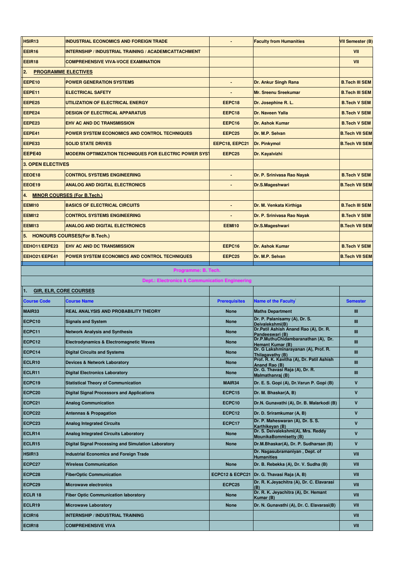| HSIR <sub>13</sub>               | <b>INDUSTRIAL ECONOMICS AND FOREIGN TRADE</b>                 |                      | <b>Faculty from Humanities</b>                                              | <b>VII Semester (B)</b> |
|----------------------------------|---------------------------------------------------------------|----------------------|-----------------------------------------------------------------------------|-------------------------|
| <b>EEIR16</b>                    | <b>INTERNSHIP / INDUSTRIAL TRAINING / ACADEMICATTACHMENT</b>  |                      |                                                                             | <b>VII</b>              |
| EEIR18                           | <b>COMPREHENSIVE VIVA-VOCE EXAMINATION</b>                    |                      |                                                                             | <b>VII</b>              |
| 2.<br><b>PROGRAMME ELECTIVES</b> |                                                               |                      |                                                                             |                         |
| EEPE10                           | <b>POWER GENERATION SYSTEMS</b>                               | $\blacksquare$       | Dr. Ankur Singh Rana                                                        | <b>B.Tech III SEM</b>   |
| EEPE11                           | <b>ELECTRICAL SAFETY</b>                                      |                      | <b>Mr. Sreenu Sreekumar</b>                                                 | <b>B.Tech III SEM</b>   |
| EEPE25                           | UTILIZATION OF ELECTRICAL ENERGY                              | EEPC18               | Dr. Josephine R. L.                                                         | <b>B.Tech V SEM</b>     |
| EEPE24                           | <b>DESIGN OF ELECTRICAL APPARATUS</b>                         | EEPC18               | Dr. Naveen Yalla                                                            | <b>B.Tech V SEM</b>     |
| EEPE23                           | <b>EHV AC AND DC TRANSMISSION</b>                             | EEPC16               | Dr. Ashok Kumar                                                             | <b>B.Tech V SEM</b>     |
| EEPE41                           | POWER SYSTEM ECONOMICS AND CONTROL TECHNIQUES                 | EEPC <sub>25</sub>   | Dr. M.P. Selvan                                                             | <b>B.Tech VII SEM</b>   |
| EEPE33                           | <b>SOLID STATE DRIVES</b>                                     | EEPC18, EEPC21       | Dr. Pinkymol                                                                | <b>B.Tech VII SEM</b>   |
| EEPE40                           | <b>MODERN OPTIMIZATION TECHNIQUES FOR ELECTRIC POWER SYST</b> | EEPC <sub>25</sub>   | Dr. Kayalvizhi                                                              |                         |
| <b>3. OPEN ELECTIVES</b>         |                                                               |                      |                                                                             |                         |
| EEOE18                           | <b>CONTROL SYSTEMS ENGINEERING</b>                            | $\blacksquare$       | Dr. P. Srinivasa Rao Nayak                                                  | <b>B.Tech V SEM</b>     |
| EEOE19                           | <b>ANALOG AND DIGITAL ELECTRONICS</b>                         |                      | Dr.S.Mageshwari                                                             | <b>B.Tech VII SEM</b>   |
| 4.                               | <b>MINOR COURSES (For B.Tech.)</b>                            |                      |                                                                             |                         |
| <b>EEMI10</b>                    | <b>BASICS OF ELECTRICAL CIRCUITS</b>                          |                      | Dr. M. Venkata Kirthiga                                                     | <b>B.Tech III SEM</b>   |
| <b>EEMI12</b>                    | <b>CONTROL SYSTEMS ENGINEERING</b>                            |                      | Dr. P. Srinivasa Rao Nayak                                                  | <b>B.Tech V SEM</b>     |
| <b>EEMI13</b>                    | <b>ANALOG AND DIGITAL ELECTRONICS</b>                         | <b>EEMI10</b>        | Dr.S.Mageshwari                                                             | <b>B.Tech VII SEM</b>   |
|                                  | 5. HONOURS COURSES (For B.Tech.)                              |                      |                                                                             |                         |
| EEHO11/EEPE23                    | <b>EHV AC AND DC TRANSMISSION</b>                             | EEPC16               | Dr. Ashok Kumar                                                             | <b>B.Tech V SEM</b>     |
| EEHO21/EEPE41                    | POWER SYSTEM ECONOMICS AND CONTROL TECHNIQUES                 | EEPC25               | Dr. M.P. Selvan                                                             | <b>B.Tech VII SEM</b>   |
|                                  |                                                               |                      |                                                                             |                         |
|                                  | Programme: B. Tech.                                           |                      |                                                                             |                         |
|                                  | Dept.: Electronics & Communication Engineering                |                      |                                                                             |                         |
| 1.                               | <b>GIR, ELR, CORE COURSES</b>                                 |                      |                                                                             |                         |
| <b>Course Code</b>               | <b>Course Name</b>                                            | <b>Prerequisites</b> | <b>Name of the Faculty</b>                                                  | <b>Semester</b>         |
| MAIR33                           | <b>REAL ANALYSIS AND PROBABILITY THEORY</b>                   | <b>None</b>          | <b>Maths Department</b><br>Dr. P. Palanisamy (A), Dr. S.                    | Ш                       |
| ECPC10                           | <b>Signals and System</b>                                     |                      |                                                                             |                         |
| ECPC11                           |                                                               | <b>None</b>          |                                                                             | Ш                       |
|                                  | <b>Network Analysis and Synthesis</b>                         | <b>None</b>          | Deivalekshmi(B)<br>Dr.Patil Ashish Anand Rao (A), Dr. R.<br>Pandeeswari (B) | Ш                       |
| ECPC12                           | Electrodynamics & Electromagnetic Waves                       | <b>None</b>          | Dr.P.MuthuChidambaranathan (A), Dr.<br>Hemant Kumar (B)                     | Ш                       |
| ECPC14                           | <b>Digital Circuits and Systems</b>                           | <b>None</b>          | Dr. G Lakshminarayanan (A), Prof. R.<br>Thilagavathy (B)                    | Ш                       |
| ECLR10                           | <b>Devices &amp; Network Laboratory</b>                       | <b>None</b>          | Prof. R. K. Kavitha (A), Dr. Patil Ashish<br>Anand Rao (B)                  | Ш                       |
| ECLR11                           | <b>Digital Electronics Laboratory</b>                         | <b>None</b>          | Dr. G. Thavasi Raja (A), Dr. R.<br>Malmathanraj (B)                         | Ш                       |
| ECPC19                           | <b>Statistical Theory of Communication</b>                    | MAIR34               | Dr. E. S. Gopi (A), Dr. Varun P. Gopi (B)                                   | V                       |
| ECPC20                           | <b>Digital Signal Processors and Applications</b>             | ECPC15               | Dr. M. Bhaskar(A, B)                                                        | V                       |
| ECPC21                           | <b>Analog Communication</b>                                   | ECPC10               | Dr.N. Gunavathi (A), Dr. B. Malarkodi (B)                                   | V                       |
| ECPC22                           | <b>Antennas &amp; Propagation</b>                             | ECPC12               | Dr. D. Sriramkumar (A, B)                                                   | $\mathbf v$             |
| ECPC23                           | <b>Analog Integrated Circuits</b>                             | ECPC17               | Dr. P. Maheswaran (A), Dr. S. S.<br>Karthikeyan (B)                         | $\mathbf v$             |
| ECLR14                           | <b>Analog Integrated Circuits Laboratory</b>                  | <b>None</b>          | Dr. S. Deivalekshmi(A), Mrs. Reddy<br><b>MounikaBommisetty (B)</b>          | $\mathbf v$             |
| ECLR15                           | Digital Signal Processing and Simulation Laboratory           | <b>None</b>          | Dr.M.Bhaskar(A), Dr. P. Sudharsan (B)                                       | $\mathbf v$             |
| HSIR <sub>13</sub>               | <b>Industrial Economics and Foreign Trade</b>                 |                      | Dr. Nagasubramaniyan, Dept. of<br><b>Humanities</b>                         | VII                     |
| ECPC27                           | <b>Wireless Communication</b>                                 | <b>None</b>          | Dr. B. Rebekka (A), Dr. V. Sudha (B)                                        | VII                     |
| ECPC28                           | <b>FiberOptic Communication</b>                               | ECPC12 & ECPC21      | Dr. G. Thavasi Raja (A, B)                                                  | VII                     |
| ECPC29                           | <b>Microwave electronics</b>                                  | ECPC25               | Dr. R. K.Jeyachitra (A), Dr. C. Elavarasi<br>(B)                            | VII                     |
| ECLR 18                          | <b>Fiber Optic Communication laboratory</b>                   | <b>None</b>          | Dr. R. K. Jeyachitra (A), Dr. Hemant                                        | VII                     |
| ECLR19                           | <b>Microwave Laboratory</b>                                   | <b>None</b>          | Kumar (B)<br>Dr. N. Gunavathi (A), Dr. C. Elavarasi(B)                      | VII                     |
| ECIR16                           | <b>INTERNSHIP / INDUSTRIAL TRAINING</b>                       |                      |                                                                             | VII                     |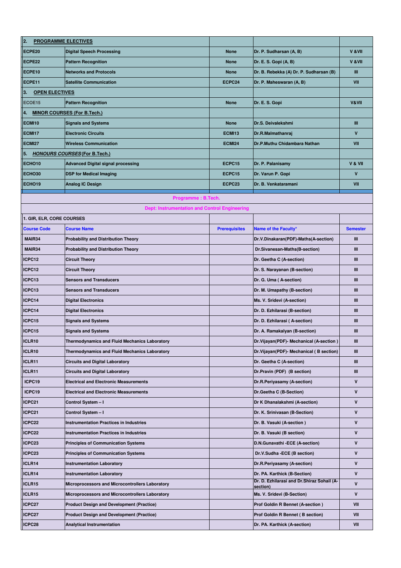| $\ _2$<br><b>PROGRAMME ELECTIVES</b> |                                                        |                      |                                                        |                 |
|--------------------------------------|--------------------------------------------------------|----------------------|--------------------------------------------------------|-----------------|
| ECPE20                               | <b>Digital Speech Processing</b>                       | <b>None</b>          | Dr. P. Sudharsan (A, B)                                | V & VII         |
| ECPE22                               | <b>Pattern Recognition</b>                             | <b>None</b>          | Dr. E. S. Gopi (A, B)                                  | V & VII         |
| ECPE10                               | <b>Networks and Protocols</b>                          | <b>None</b>          | Dr. B. Rebekka (A) Dr. P. Sudharsan (B)                | Ш               |
| ECPE11                               | <b>Satellite Communication</b>                         | ECPC24               | Dr. P. Maheswaran (A, B)                               | VII             |
| З.<br><b>OPEN ELECTIVES</b>          |                                                        |                      |                                                        |                 |
| ECOE15                               | <b>Pattern Recognition</b>                             | <b>None</b>          | Dr. E. S. Gopi                                         | V&VII           |
| 4.                                   | <b>MINOR COURSES (For B.Tech.)</b>                     |                      |                                                        |                 |
| <b>ECMI10</b>                        | <b>Signals and Systems</b>                             | <b>None</b>          | Dr.S. Deivalekshmi                                     | Ш               |
| <b>ECMI17</b>                        | <b>Electronic Circuits</b>                             | ECMI13               | Dr.R.Malmathanraj                                      | V               |
| <b>ECMI27</b>                        | <b>Wireless Communication</b>                          | ECMI24               | Dr.P.Muthu Chidambara Nathan                           | VII             |
| 5.                                   | <b>HONOURS COURSES (For B.Tech.)</b>                   |                      |                                                        |                 |
| ECHO10                               | <b>Advanced Digital signal processing</b>              | ECPC15               | Dr. P. Palanisamy                                      | V & VII         |
| ECHO30                               | <b>DSP for Medical Imaging</b>                         | ECPC15               | Dr. Varun P. Gopi                                      | V               |
| ECHO19                               | <b>Analog IC Design</b>                                | ECPC <sub>23</sub>   | Dr. B. Venkataramani                                   | VII             |
|                                      | Programme: B.Tech.                                     |                      |                                                        |                 |
|                                      | <b>Dept: Instrumentation and Control Engineering</b>   |                      |                                                        |                 |
| 1. GIR, ELR, CORE COURSES            |                                                        |                      |                                                        |                 |
| <b>Course Code</b>                   | <b>Course Name</b>                                     | <b>Prerequisites</b> | Name of the Faculty*                                   | <b>Semester</b> |
| MAIR34                               | <b>Probability and Distribution Theory</b>             |                      | Dr.V.Dinakaran(PDF)-Maths(A-section)                   | Ш               |
| MAIR34                               | <b>Probability and Distribution Theory</b>             |                      | Dr.Sivanesan-Maths(B-section)                          | $\mathbf{m}$    |
| ICPC12                               | <b>Circuit Theory</b>                                  |                      | Dr. Geetha C (A-section)                               | Ш               |
| ICPC12                               | <b>Circuit Theory</b>                                  |                      | Dr. S. Narayanan (B-section)                           | Ш               |
| ICPC13                               | <b>Sensors and Transducers</b>                         |                      | Dr. G. Uma (A-section)                                 | Ш               |
| ICPC13                               | <b>Sensors and Transducers</b>                         |                      | Dr. M. Umapathy (B-section)                            | $\mathbf{m}$    |
| ICPC14                               | <b>Digital Electronics</b>                             |                      | Ms. V. Sridevi (A-section)                             | Ш               |
| ICPC14                               | <b>Digital Electronics</b>                             |                      | Dr. D. Ezhilarasi (B-section)                          | $\mathbf{m}$    |
| ICPC15                               | <b>Signals and Systems</b>                             |                      | Dr. D. Ezhilarasi (A-section)                          | Ш               |
| ICPC15                               | <b>Signals and Systems</b>                             |                      | Dr. A. Ramakalyan (B-section)                          | Ш               |
| ICLR10                               | Thermodynamics and Fluid Mechanics Laboratory          |                      | Dr.Vijayan(PDF)- Mechanical (A-section)                | Ш               |
| ICLR10                               | <b>Thermodynamics and Fluid Mechanics Laboratory</b>   |                      | Dr. Vijayan (PDF) - Mechanical (B section)             | Ш               |
| ICLR11                               | <b>Circuits and Digital Laboratory</b>                 |                      | Dr. Geetha C (A-section)                               | Ш               |
| ICLR11                               | <b>Circuits and Digital Laboratory</b>                 |                      | Dr.Pravin (PDF) (B section)                            | Ш               |
| ICPC19                               | <b>Electrical and Electronic Measurements</b>          |                      | Dr.R.Periyasamy (A-section)                            | V               |
| ICPC19                               | <b>Electrical and Electronic Measurements</b>          |                      | Dr.Geetha C (B-Section)                                | V               |
| ICPC21                               | Control System - I                                     |                      | Dr K Dhanalakshmi (A-section)                          | V               |
| ICPC21                               | Control System - I                                     |                      | Dr. K. Srinivasan (B-Section)                          | V               |
| ICPC22                               | <b>Instrumentation Practices in Industries</b>         |                      | Dr. B. Vasuki (A-section)                              | V               |
| ICPC22                               | <b>Instrumentation Practices in Industries</b>         |                      | Dr. B. Vasuki (B section)                              | V               |
| ICPC23                               | <b>Principles of Communication Systems</b>             |                      | D.N.Gunavathi -ECE (A-section)                         | V               |
| ICPC23                               | <b>Principles of Communication Systems</b>             |                      | Dr.V.Sudha -ECE (B section)                            | V               |
| ICLR14                               | <b>Instrumentation Laboratory</b>                      |                      | Dr.R.Periyasamy (A-section)                            | V               |
| ICLR14                               | <b>Instrumentation Laboratory</b>                      |                      | Dr. PA. Karthick (B-Section)                           | V               |
| ICLR15                               | <b>Microprocessors and Microcontrollers Laboratory</b> |                      | Dr. D. Ezhilarasi and Dr.Shiraz Sohail (A-<br>section) | V               |
| ICLR15                               | Microprocessors and Microcontrollers Laboratory        |                      | Ms. V. Sridevi (B-Section)                             | V               |
| ICPC27                               | <b>Product Design and Development (Practice)</b>       |                      | <b>Prof Goldin R Bennet (A-section)</b>                | VII             |
| ICPC27                               | <b>Product Design and Development (Practice)</b>       |                      | <b>Prof Goldin R Bennet (B section)</b>                | VII             |
| ICPC28                               | <b>Analytical Instrumentation</b>                      |                      | Dr. PA. Karthick (A-section)                           | VII             |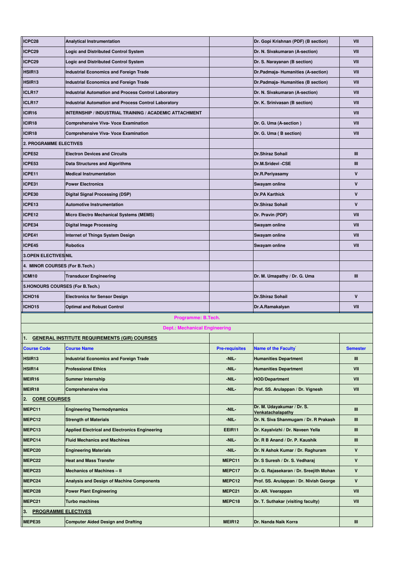| ICPC28                           | <b>Analytical Instrumentation</b>                             |                       | Dr. Gopi Krishnan (PDF) (B section)                        | VII             |
|----------------------------------|---------------------------------------------------------------|-----------------------|------------------------------------------------------------|-----------------|
| ICPC29                           | <b>Logic and Distributed Control System</b>                   |                       | Dr. N. Sivakumaran (A-section)                             | VII             |
| ICPC29                           | <b>Logic and Distributed Control System</b>                   |                       | Dr. S. Narayanan (B section)                               | VII             |
| HSIR13                           | <b>Industrial Economics and Foreign Trade</b>                 |                       | Dr.Padmaja-Humanities (A-section)                          | VII             |
| HSIR <sub>13</sub>               | <b>Industrial Economics and Foreign Trade</b>                 |                       | Dr.Padmaja-Humanities (B section)                          | VII             |
| ICLR17                           | Industrial Automation and Process Control Laboratory          |                       | Dr. N. Sivakumaran (A-section)                             | VII             |
| ICLR17                           | Industrial Automation and Process Control Laboratory          |                       | Dr. K. Srinivasan (B section)                              | VII             |
| ICIR16                           | <b>INTERNSHIP / INDUSTRIAL TRAINING / ACADEMIC ATTACHMENT</b> |                       |                                                            | VII             |
| ICIR18                           | <b>Comprehensive Viva- Voce Examination</b>                   |                       | Dr. G. Uma (A-section)                                     | VII             |
| ICIR18                           | <b>Comprehensive Viva- Voce Examination</b>                   |                       | Dr. G. Uma (B section)                                     | VII             |
| <b>2. PROGRAMME ELECTIVES</b>    |                                                               |                       |                                                            |                 |
| ICPE52                           | <b>Electron Devices and Circuits</b>                          |                       | <b>Dr.Shiraz Sohail</b>                                    | Ш               |
| ICPE53                           | <b>Data Structures and Algorithms</b>                         |                       | Dr.M.Sridevi-CSE                                           | Ш               |
| ICPE11                           | <b>Medical Instrumentation</b>                                |                       | Dr.R.Periyasamy                                            | $\mathsf{v}$    |
| ICPE31                           | <b>Power Electronics</b>                                      |                       | Swayam online                                              | V               |
| ICPE30                           | <b>Digital Signal Processing (DSP)</b>                        |                       | <b>Dr.PA Karthick</b>                                      | $\mathsf{v}$    |
| ICPE13                           | <b>Automotive Instrumentation</b>                             |                       | Dr.Shiraz Sohail                                           | V               |
| ICPE12                           | <b>Micro Electro Mechanical Systems (MEMS)</b>                |                       | Dr. Pravin (PDF)                                           | VII             |
| ICPE34                           |                                                               |                       | Swayam online                                              | VII             |
|                                  | <b>Digital Image Processing</b>                               |                       |                                                            |                 |
| ICPE41                           | <b>Internet of Things System Design</b>                       |                       | Swayam online                                              | VII             |
| ICPE45                           | <b>Robotics</b>                                               |                       | Swayam online                                              | VII             |
| <b>3.OPEN ELECTIVES NIL</b>      |                                                               |                       |                                                            |                 |
| 4. MINOR COURSES (For B.Tech.)   |                                                               |                       |                                                            |                 |
| <b>ICMI10</b>                    | <b>Transducer Engineering</b>                                 |                       | Dr. M. Umapathy / Dr. G. Uma                               | Ш               |
| 5.HONOURS COURSES (For B.Tech.)  |                                                               |                       |                                                            |                 |
|                                  |                                                               |                       |                                                            |                 |
| ICHO16                           | <b>Electronics for Sensor Design</b>                          |                       | Dr.Shiraz Sohail                                           | $\mathbf v$     |
| ICHO15                           | <b>Optimal and Robust Control</b>                             |                       | Dr.A.Ramakalyan                                            | VII             |
|                                  | Programme: B.Tech.                                            |                       |                                                            |                 |
|                                  | <b>Dept.: Mechanical Engineering</b>                          |                       |                                                            |                 |
|                                  | <b>GENERAL INSTITUTE REQUIREMENTS (GIR) COURSES</b>           |                       |                                                            |                 |
| <b>Course Code</b>               | <b>Course Name</b>                                            | <b>Pre-requisites</b> | <b>Name of the Faculty</b>                                 | <b>Semester</b> |
| HSIR <sub>13</sub>               | <b>Industrial Economics and Foreign Trade</b>                 | -NIL-                 | <b>Humanities Department</b>                               | Ш               |
| HSIR14                           | <b>Professional Ethics</b>                                    | -NIL-                 | <b>Humanities Department</b>                               | VII             |
| MEIR16                           | Summer Internship                                             | -NIL-                 | <b>HOD/Department</b>                                      | VII             |
| MEIR18                           | Comprehensive viva                                            | -NIL-                 | Prof. SS. Arulappan / Dr. Vignesh                          | VII             |
| <b>CORE COURSES</b><br>2.        |                                                               |                       |                                                            |                 |
| MEPC11                           | <b>Engineering Thermodynamics</b>                             | -NIL-                 | Dr. M. Udayakumar / Dr. S.                                 | Ш               |
| MEPC12                           | <b>Strength of Materials</b>                                  | -NIL-                 | Venkatachalapathy<br>Dr. N. Siva Shanmugam / Dr. R Prakash | Ш               |
| MEPC13                           | <b>Applied Electrical and Electronics Engineering</b>         | EEIR11                | Dr. Kayalvizhi / Dr. Naveen Yella                          | Ш               |
| MEPC14                           | <b>Fluid Mechanics and Machines</b>                           | -NIL-                 | Dr. R B Anand / Dr. P. Kaushik                             | Ш               |
| MEPC20                           | <b>Engineering Materials</b>                                  | -NIL-                 | Dr. N Ashok Kumar / Dr. Raghuram                           | V               |
| MEPC22                           | <b>Heat and Mass Transfer</b>                                 | MEPC11                | Dr. S Suresh / Dr. S. Vedharaj                             | V               |
| MEPC23                           | Mechanics of Machines - II                                    | MEPC17                | Dr. G. Rajasekaran / Dr. Sreejith Mohan                    | V               |
| MEPC24                           | Analysis and Design of Machine Components                     | MEPC12                | Prof. SS. Arulappan / Dr. Nivish George                    | V               |
| MEPC28                           | <b>Power Plant Engineering</b>                                | MEPC21                | Dr. AR. Veerappan                                          | VII             |
| MEPC21                           | <b>Turbo machines</b>                                         | MEPC18                | Dr. T. Suthakar (visiting faculty)                         | VII             |
| <b>PROGRAMME ELECTIVES</b><br>3. |                                                               |                       |                                                            |                 |
| MEPE35                           | <b>Computer Aided Design and Drafting</b>                     | MEIR12                | Dr. Nanda Naik Korra                                       | Ш               |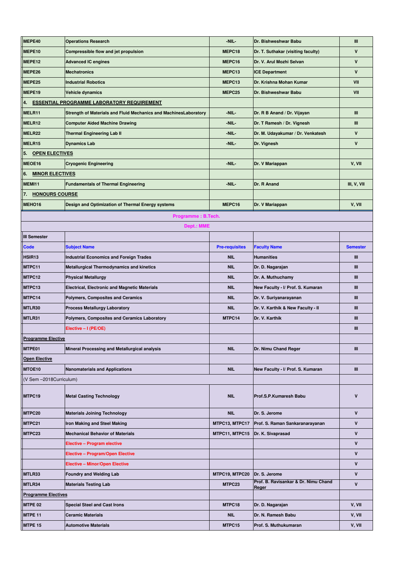| MEPE40                       | <b>Operations Research</b>                                       | -NIL-                 | Dr. Bishweshwar Babu                          | Ш               |
|------------------------------|------------------------------------------------------------------|-----------------------|-----------------------------------------------|-----------------|
| MEPE10                       | Compressible flow and jet propulsion                             | MEPC18                | Dr. T. Suthakar (visiting faculty)            | $\mathbf v$     |
| MEPE12                       | <b>Advanced IC engines</b>                                       | MEPC16                | Dr. V. Arul Mozhi Selvan                      | $\mathsf{v}$    |
| MEPE26                       | <b>Mechatronics</b>                                              | MEPC13                | <b>ICE Department</b>                         | $\mathsf{v}$    |
| MEPE25                       | <b>Industrial Robotics</b>                                       | MEPC13                | Dr. Krishna Mohan Kumar                       | VII             |
| MEPE <sub>19</sub>           | Vehicle dynamics                                                 | MEPC25                | Dr. Bishweshwar Babu                          | VII             |
| 4.                           | <b>ESSENTIAL PROGRAMME LABORATORY REQUIREMENT</b>                |                       |                                               |                 |
| MELR11                       | Strength of Materials and Fluid Mechanics and MachinesLaboratory | -NIL-                 | Dr. R B Anand / Dr. Vijayan                   | Ш               |
| MELR12                       | <b>Computer Aided Machine Drawing</b>                            | -NIL-                 | Dr. T Ramesh / Dr. Vignesh                    | Ш               |
| MELR22                       | <b>Thermal Engineering Lab II</b>                                | -NIL-                 | Dr. M. Udayakumar / Dr. Venkatesh             | $\mathsf{v}$    |
| MELR15                       | <b>Dynamics Lab</b>                                              | -NIL-                 | Dr. Vignesh                                   | $\mathsf{v}$    |
| 5.<br><b>OPEN ELECTIVES</b>  |                                                                  |                       |                                               |                 |
| MEOE16                       | <b>Cryogenic Engineering</b>                                     | -NIL-                 | Dr. V Mariappan                               | V, VII          |
| 6.<br><b>MINOR ELECTIVES</b> |                                                                  |                       |                                               |                 |
| MEMI11                       | <b>Fundamentals of Thermal Engineering</b>                       | -NIL-                 | Dr. R Anand                                   | III, V, VII     |
| <b>HONOURS COURSE</b>        |                                                                  |                       |                                               |                 |
| 7.                           |                                                                  |                       |                                               |                 |
| MEHO16                       | Design and Optimization of Thermal Energy systems                | MEPC16                | Dr. V Mariappan                               | V, VII          |
|                              | Programme: B.Tech.                                               |                       |                                               |                 |
|                              | <b>Dept.: MME</b>                                                |                       |                                               |                 |
| <b>III Semester</b>          |                                                                  |                       |                                               |                 |
| <b>Code</b>                  | <b>Subject Name</b>                                              | <b>Pre-requisites</b> | <b>Faculty Name</b>                           | <b>Semester</b> |
| HSIR <sub>13</sub>           | <b>Industrial Economics and Foreign Trades</b>                   | <b>NIL</b>            | <b>Humanities</b>                             | Ш               |
| MTPC11                       | <b>Metallurgical Thermodynamics and kinetics</b>                 | <b>NIL</b>            | Dr. D. Nagarajan                              | Ш               |
| MTPC12                       | <b>Physical Metallurgy</b>                                       | <b>NIL</b>            | Dr. A. Muthuchamy                             | III             |
| MTPC13                       | <b>Electrical, Electronic and Magnetic Materials</b>             | <b>NIL</b>            | New Faculty - I/ Prof. S. Kumaran             | Ш               |
| MTPC14                       | <b>Polymers, Composites and Ceramics</b>                         | <b>NIL</b>            | Dr. V. Suriyanarayanan                        | Ш               |
| MTLR30                       | <b>Process Metallurgy Laboratory</b>                             | <b>NIL</b>            | Dr. V. Karthik & New Faculty - II             | Ш               |
| MTLR31                       | Polymers, Composites and Ceramics Laboratory                     | MTPC14                | Dr. V. Karthik                                | Ш               |
|                              | Elective - I (PE/OE)                                             |                       |                                               | Ш               |
| <b>Programme Elective</b>    |                                                                  |                       |                                               |                 |
| MTPE01                       | Mineral Processing and Metallurgical analysis                    | <b>NIL</b>            | Dr. Nimu Chand Reger                          | Ш               |
| <b>Open Elective</b>         |                                                                  |                       |                                               |                 |
| MTOE10                       | <b>Nanomaterials and Applications</b>                            | <b>NIL</b>            | New Faculty - I/ Prof. S. Kumaran             | Ш               |
| (V Sem -2018Curriculum)      |                                                                  |                       |                                               |                 |
|                              |                                                                  |                       |                                               |                 |
| MTPC19                       | <b>Metal Casting Technology</b>                                  | <b>NIL</b>            | Prof.S.P.Kumaresh Babu                        | $\mathsf{v}$    |
|                              |                                                                  |                       |                                               |                 |
| MTPC20                       | <b>Materials Joining Technology</b>                              | <b>NIL</b>            | Dr. S. Jerome                                 | V               |
| MTPC21                       | Iron Making and Steel Making                                     | MTPC13, MTPC17        | Prof. S. Raman Sankaranarayanan               | $\mathbf v$     |
| MTPC23                       | <b>Mechanical Behavior of Materials</b>                          | MTPC11, MTPC15        | Dr. K. Sivaprasad                             | V               |
|                              | Elective - Program elective                                      |                       |                                               | V               |
|                              | <b>Elective - Program/Open Elective</b>                          |                       |                                               | V               |
|                              | <b>Elective - Minor/Open Elective</b>                            |                       |                                               | $\mathsf{v}$    |
| MTLR33                       | <b>Foundry and Welding Lab</b>                                   | MTPC19, MTPC20        | Dr. S. Jerome                                 | V               |
| MTLR34                       | <b>Materials Testing Lab</b>                                     | MTPC23                | Prof. B. Ravisankar & Dr. Nimu Chand<br>Reger | V               |
| <b>Programme Electives</b>   |                                                                  |                       |                                               |                 |
| <b>MTPE 02</b>               | <b>Special Steel and Cast Irons</b>                              | MTPC18                | Dr. D. Nagarajan                              | V, VII          |
| <b>MTPE 11</b>               | <b>Ceramic Materials</b>                                         | <b>NIL</b>            | Dr. N. Ramesh Babu                            | V, VII          |
| <b>MTPE 15</b>               | <b>Automotive Materials</b>                                      | MTPC15                | Prof. S. Muthukumaran                         | V, VII          |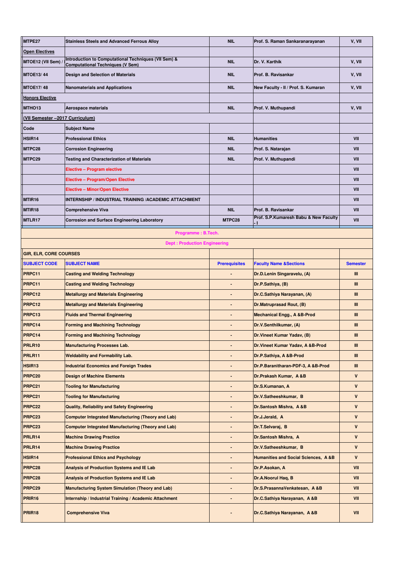| MTPE27                          | <b>Stainless Steels and Advanced Ferrous Alloy</b>                                              | <b>NIL</b>           | Prof. S. Raman Sankaranarayanan                | V, VII          |
|---------------------------------|-------------------------------------------------------------------------------------------------|----------------------|------------------------------------------------|-----------------|
| <b>Open Electives</b>           |                                                                                                 |                      |                                                |                 |
| MTOE12 (VII Sem)                | Introduction to Computational Techniques (VII Sem) &<br><b>Computational Techniques (V Sem)</b> | <b>NIL</b>           | Dr. V. Karthik                                 | V, VII          |
| <b>MTOE13/44</b>                | <b>Design and Selection of Materials</b>                                                        | <b>NIL</b>           | Prof. B. Ravisankar                            | V, VII          |
| <b>MTOE17/48</b>                | <b>Nanomaterials and Applications</b>                                                           | <b>NIL</b>           | New Faculty - II / Prof. S. Kumaran            | V, VII          |
| <b>Honors Elective</b>          |                                                                                                 |                      |                                                |                 |
| MTHO <sub>13</sub>              | Aerospace materials                                                                             | <b>NIL</b>           | Prof. V. Muthupandi                            | V, VII          |
| (VII Semester -2017 Curriculum) |                                                                                                 |                      |                                                |                 |
| Code                            | <b>Subject Name</b>                                                                             |                      |                                                |                 |
| HSIR14                          | <b>Professional Ethics</b>                                                                      | <b>NIL</b>           | <b>Humanities</b>                              | VII             |
| MTPC28                          | <b>Corrosion Engineering</b>                                                                    | <b>NIL</b>           | Prof. S. Natarajan                             | VII             |
| MTPC29                          | Testing and Characterization of Materials                                                       | <b>NIL</b>           | Prof. V. Muthupandi                            | VII             |
|                                 | Elective - Program elective                                                                     |                      |                                                | VII             |
|                                 | <b>Elective - Program/Open Elective</b>                                                         |                      |                                                | VII             |
|                                 | <b>Elective - Minor/Open Elective</b>                                                           |                      |                                                | VII             |
| MTIR <sub>16</sub>              | INTERNSHIP / INDUSTRIAL TRAINING /ACADEMIC ATTACHMENT                                           |                      |                                                | VII             |
| MTIR <sub>18</sub>              | <b>Comprehensive Viva</b>                                                                       | <b>NIL</b>           | Prof. B. Ravisankar                            | VII             |
| MTLR17                          | <b>Corrosion and Surface Engineering Laboratory</b>                                             | MTPC28               | Prof. S.P.Kumaresh Babu & New Faculty<br>4     | VII             |
|                                 | Programme: B.Tech.                                                                              |                      |                                                |                 |
|                                 | <b>Dept: Production Engineering</b>                                                             |                      |                                                |                 |
| <b>GIR, ELR, CORE COURSES</b>   |                                                                                                 |                      |                                                |                 |
| <b>SUBJECT CODE</b>             | <b>SUBJECT NAME</b>                                                                             | <b>Prerequisites</b> | <b>Faculty Name &amp;Sections</b>              | <b>Semester</b> |
| PRPC11                          | <b>Casting and Welding Technology</b>                                                           |                      | Dr.D.Lenin Singaravelu, (A)                    | Ш               |
| PRPC11                          | <b>Casting and Welding Technology</b>                                                           |                      | Dr.P.Sathiya, (B)                              | Ш               |
| PRPC12                          | <b>Metallurgy and Materials Engineering</b>                                                     |                      | Dr.C.Sathiya Narayanan, (A)                    | Ш               |
| PRPC12                          | <b>Metallurgy and Materials Engineering</b>                                                     |                      | Dr.Matruprasad Rout, (B)                       | Ш               |
| PRPC13                          | <b>Fluids and Thermal Engineering</b>                                                           |                      | <b>Mechanical Engg., A &amp;B-Prod</b>         | Ш               |
| PRPC14                          | <b>Forming and Machining Technology</b>                                                         |                      | Dr.V.Senthilkumar, (A)                         | Ш               |
| PRPC14                          | <b>Forming and Machining Technology</b>                                                         |                      | Dr. Vineet Kumar Yadav, (B)                    | Ш               |
| PRLR10                          | <b>Manufacturing Processes Lab.</b>                                                             |                      | Dr. Vineet Kumar Yadav, A &B-Prod              | Ш               |
| PRLR11                          | <b>Weldability and Formability Lab.</b>                                                         |                      | Dr.P.Sathiya, A &B-Prod                        | Ш               |
| HSIR <sub>13</sub>              | <b>Industrial Economics and Foreign Trades</b>                                                  |                      | Dr.P.Baranitharan-PDF-3, A &B-Prod             | Ш               |
| PRPC <sub>20</sub>              | <b>Design of Machine Elements</b>                                                               |                      | Dr.Prakash Kumar, A &B                         | V               |
| PRPC <sub>21</sub>              | <b>Tooling for Manufacturing</b>                                                                |                      | Dr.S.Kumanan, A                                | V               |
| PRPC <sub>21</sub>              | <b>Tooling for Manufacturing</b>                                                                |                      | Dr.V.Satheeshkumar, B                          | V               |
| PRPC22                          | <b>Quality, Reliability and Safety Engineering</b>                                              |                      | Dr.Santosh Mishra, A &B                        | V               |
| PRPC23                          | <b>Computer Integrated Manufacturing (Theory and Lab)</b>                                       |                      | Dr.J.Jerald, A                                 | V               |
| PRPC <sub>23</sub>              | <b>Computer Integrated Manufacturing (Theory and Lab)</b>                                       |                      | Dr.T.Selvaraj, B                               | V               |
| PRLR14                          | <b>Machine Drawing Practice</b>                                                                 |                      | Dr.Santosh Mishra, A                           | V               |
| PRLR14                          | <b>Machine Drawing Practice</b>                                                                 |                      | Dr.V.Satheeshkumar, B                          | V               |
| HSIR14                          | <b>Professional Ethics and Psychology</b>                                                       |                      | <b>Humanities and Social Sciences, A&amp;B</b> | V               |
| PRPC <sub>28</sub>              | <b>Analysis of Production Systems and IE Lab</b>                                                |                      | Dr.P.Asokan, A                                 | VII             |
| PRPC28                          | <b>Analysis of Production Systems and IE Lab</b>                                                |                      | Dr.A.Noorul Haq, B                             | VII             |
| PRPC <sub>29</sub>              | <b>Manufacturing System Simulation (Theory and Lab)</b>                                         |                      | Dr.S.PrasannaVenkatesan, A&B                   | VII             |
| <b>PRIR16</b>                   | Internship / Industrial Training / Academic Attachment                                          |                      | Dr.C.Sathiya Narayanan, A &B                   | VII             |
|                                 |                                                                                                 |                      |                                                |                 |
| PRIR <sub>18</sub>              | <b>Comprehensive Viva</b>                                                                       |                      | Dr.C.Sathiya Narayanan, A &B                   | VII             |